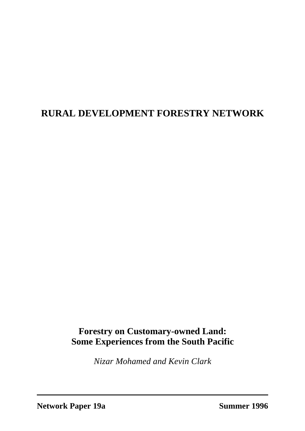# **RURAL DEVELOPMENT FORESTRY NETWORK**

## **Forestry on Customary-owned Land: Some Experiences from the South Pacific**

*Nizar Mohamed and Kevin Clark*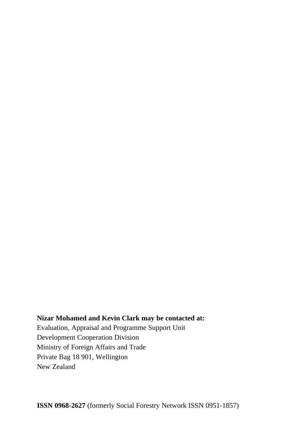#### **Nizar Mohamed and Kevin Clark may be contacted at:**

Evaluation, Appraisal and Programme Support Unit Development Cooperation Division Ministry of Foreign Affairs and Trade Private Bag 18 901, Wellington New Zealand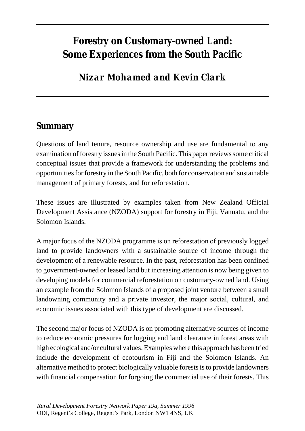# **Forestry on Customary-owned Land: Some Experiences from the South Pacific**

# *Nizar Mohamed and Kevin Clark*

## **Summary**

Questions of land tenure, resource ownership and use are fundamental to any examination of forestry issues in the South Pacific. This paper reviews some critical conceptual issues that provide a framework for understanding the problems and opportunities for forestry in the South Pacific, both for conservation and sustainable management of primary forests, and for reforestation.

These issues are illustrated by examples taken from New Zealand Official Development Assistance (NZODA) support for forestry in Fiji, Vanuatu, and the Solomon Islands.

A major focus of the NZODA programme is on reforestation of previously logged land to provide landowners with a sustainable source of income through the development of a renewable resource. In the past, reforestation has been confined to government-owned or leased land but increasing attention is now being given to developing models for commercial reforestation on customary-owned land. Using an example from the Solomon Islands of a proposed joint venture between a small landowning community and a private investor, the major social, cultural, and economic issues associated with this type of development are discussed.

The second major focus of NZODA is on promoting alternative sources of income to reduce economic pressures for logging and land clearance in forest areas with high ecological and/or cultural values. Examples where this approach has been tried include the development of ecotourism in Fiji and the Solomon Islands. An alternative method to protect biologically valuable forests is to provide landowners with financial compensation for forgoing the commercial use of their forests. This

*Rural Development Forestry Network Paper 19a, Summer 1996* ODI, Regent's College, Regent's Park, London NW1 4NS, UK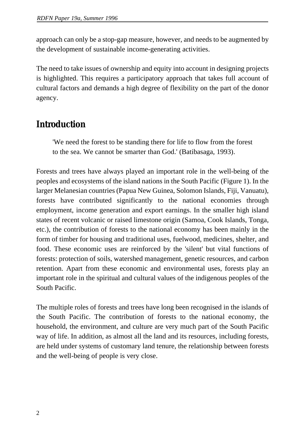approach can only be a stop-gap measure, however, and needs to be augmented by the development of sustainable income-generating activities.

The need to take issues of ownership and equity into account in designing projects is highlighted. This requires a participatory approach that takes full account of cultural factors and demands a high degree of flexibility on the part of the donor agency.

## **Introduction**

'We need the forest to be standing there for life to flow from the forest to the sea. We cannot be smarter than God.' (Batibasaga, 1993).

Forests and trees have always played an important role in the well-being of the peoples and ecosystems of the island nations in the South Pacific (Figure 1). In the larger Melanesian countries (Papua New Guinea, Solomon Islands, Fiji, Vanuatu), forests have contributed significantly to the national economies through employment, income generation and export earnings. In the smaller high island states of recent volcanic or raised limestone origin (Samoa, Cook Islands, Tonga, etc.), the contribution of forests to the national economy has been mainly in the form of timber for housing and traditional uses, fuelwood, medicines, shelter, and food. These economic uses are reinforced by the 'silent' but vital functions of forests: protection of soils, watershed management, genetic resources, and carbon retention. Apart from these economic and environmental uses, forests play an important role in the spiritual and cultural values of the indigenous peoples of the South Pacific.

The multiple roles of forests and trees have long been recognised in the islands of the South Pacific. The contribution of forests to the national economy, the household, the environment, and culture are very much part of the South Pacific way of life. In addition, as almost all the land and its resources, including forests, are held under systems of customary land tenure, the relationship between forests and the well-being of people is very close.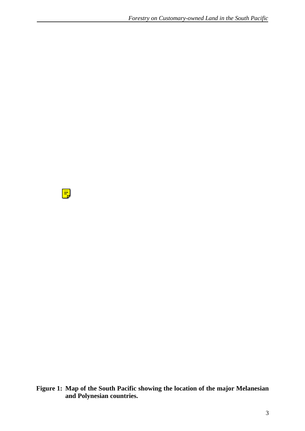$\boxed{=}$ 

**Figure 1: Map of the South Pacific showing the location of the major Melanesian and Polynesian countries.**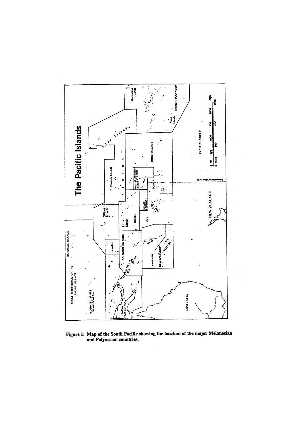

Figure 1: Map of the South Pacific showing the location of the major Melanesian and Polynesian countries.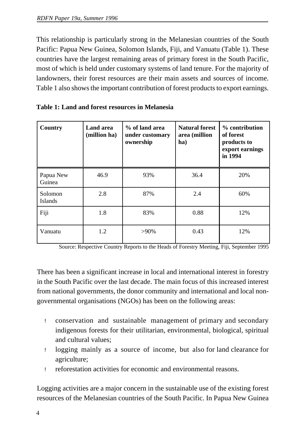This relationship is particularly strong in the Melanesian countries of the South Pacific: Papua New Guinea, Solomon Islands, Fiji, and Vanuatu (Table 1). These countries have the largest remaining areas of primary forest in the South Pacific, most of which is held under customary systems of land tenure. For the majority of landowners, their forest resources are their main assets and sources of income. Table 1 also shows the important contribution of forest products to export earnings.

| Country                   | Land area<br>(million ha) | % of land area<br>under customary<br>ownership | <b>Natural forest</b><br>area (million<br>ha) | % contribution<br>of forest<br>products to<br>export earnings<br>in 1994 |
|---------------------------|---------------------------|------------------------------------------------|-----------------------------------------------|--------------------------------------------------------------------------|
| Papua New<br>Guinea       | 46.9                      | 93%                                            | 36.4                                          | 20%                                                                      |
| Solomon<br><b>Islands</b> | 2.8                       | 87%                                            | 2.4                                           | 60%                                                                      |
| Fiji                      | 1.8                       | 83%                                            | 0.88                                          | 12%                                                                      |
| Vanuatu                   | 1.2                       | $>90\%$                                        | 0.43                                          | 12%                                                                      |

| <b>Table 1: Land and forest resources in Melanesia</b> |  |
|--------------------------------------------------------|--|
|--------------------------------------------------------|--|

Source: Respective Country Reports to the Heads of Forestry Meeting, Fiji, September 1995

There has been a significant increase in local and international interest in forestry in the South Pacific over the last decade. The main focus of this increased interest from national governments, the donor community and international and local nongovernmental organisations (NGOs) has been on the following areas:

- ! conservation and sustainable management of primary and secondary indigenous forests for their utilitarian, environmental, biological, spiritual and cultural values;
- ! logging mainly as a source of income, but also for land clearance for agriculture;
- ! reforestation activities for economic and environmental reasons.

Logging activities are a major concern in the sustainable use of the existing forest resources of the Melanesian countries of the South Pacific. In Papua New Guinea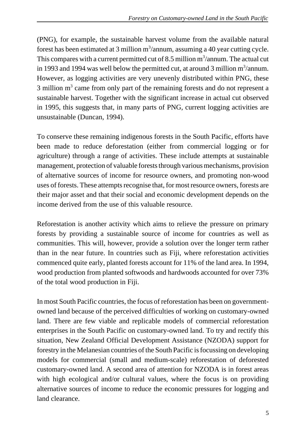(PNG), for example, the sustainable harvest volume from the available natural forest has been estimated at 3 million  $m^3$ /annum, assuming a 40 year cutting cycle. This compares with a current permitted cut of 8.5 million  $m^3$ /annum. The actual cut in 1993 and 1994 was well below the permitted cut, at around 3 million  $m^3$ /annum. However, as logging activities are very unevenly distributed within PNG, these 3 million  $m<sup>3</sup>$  came from only part of the remaining forests and do not represent a sustainable harvest. Together with the significant increase in actual cut observed in 1995, this suggests that, in many parts of PNG, current logging activities are unsustainable (Duncan, 1994).

To conserve these remaining indigenous forests in the South Pacific, efforts have been made to reduce deforestation (either from commercial logging or for agriculture) through a range of activities. These include attempts at sustainable management, protection of valuable forests through various mechanisms, provision of alternative sources of income for resource owners, and promoting non-wood uses of forests. These attempts recognise that, for most resource owners, forests are their major asset and that their social and economic development depends on the income derived from the use of this valuable resource.

Reforestation is another activity which aims to relieve the pressure on primary forests by providing a sustainable source of income for countries as well as communities. This will, however, provide a solution over the longer term rather than in the near future. In countries such as Fiji, where reforestation activities commenced quite early, planted forests account for 11% of the land area. In 1994, wood production from planted softwoods and hardwoods accounted for over 73% of the total wood production in Fiji.

In most South Pacific countries, the focus of reforestation has been on governmentowned land because of the perceived difficulties of working on customary-owned land. There are few viable and replicable models of commercial reforestation enterprises in the South Pacific on customary-owned land. To try and rectify this situation, New Zealand Official Development Assistance (NZODA) support for forestry in the Melanesian countries of the South Pacific is focussing on developing models for commercial (small and medium-scale) reforestation of deforested customary-owned land. A second area of attention for NZODA is in forest areas with high ecological and/or cultural values, where the focus is on providing alternative sources of income to reduce the economic pressures for logging and land clearance.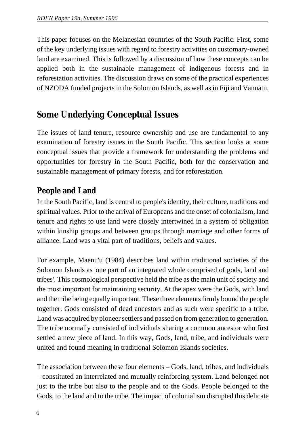This paper focuses on the Melanesian countries of the South Pacific. First, some of the key underlying issues with regard to forestry activities on customary-owned land are examined. This is followed by a discussion of how these concepts can be applied both in the sustainable management of indigenous forests and in reforestation activities. The discussion draws on some of the practical experiences of NZODA funded projects in the Solomon Islands, as well as in Fiji and Vanuatu.

# **Some Underlying Conceptual Issues**

The issues of land tenure, resource ownership and use are fundamental to any examination of forestry issues in the South Pacific. This section looks at some conceptual issues that provide a framework for understanding the problems and opportunities for forestry in the South Pacific, both for the conservation and sustainable management of primary forests, and for reforestation.

### **People and Land**

In the South Pacific, land is central to people's identity, their culture, traditions and spiritual values. Prior to the arrival of Europeans and the onset of colonialism, land tenure and rights to use land were closely intertwined in a system of obligation within kinship groups and between groups through marriage and other forms of alliance. Land was a vital part of traditions, beliefs and values.

For example, Maenu'u (1984) describes land within traditional societies of the Solomon Islands as 'one part of an integrated whole comprised of gods, land and tribes'. This cosmological perspective held the tribe as the main unit of society and the most important for maintaining security. At the apex were the Gods, with land and the tribe being equally important. These three elements firmly bound the people together. Gods consisted of dead ancestors and as such were specific to a tribe. Land was acquired by pioneer settlers and passed on from generation to generation. The tribe normally consisted of individuals sharing a common ancestor who first settled a new piece of land. In this way, Gods, land, tribe, and individuals were united and found meaning in traditional Solomon Islands societies.

The association between these four elements – Gods, land, tribes, and individuals – constituted an interrelated and mutually reinforcing system. Land belonged not just to the tribe but also to the people and to the Gods. People belonged to the Gods, to the land and to the tribe. The impact of colonialism disrupted this delicate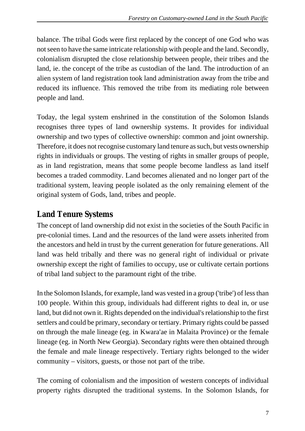balance. The tribal Gods were first replaced by the concept of one God who was not seen to have the same intricate relationship with people and the land. Secondly, colonialism disrupted the close relationship between people, their tribes and the land, ie. the concept of the tribe as custodian of the land. The introduction of an alien system of land registration took land administration away from the tribe and reduced its influence. This removed the tribe from its mediating role between people and land.

Today, the legal system enshrined in the constitution of the Solomon Islands recognises three types of land ownership systems. It provides for individual ownership and two types of collective ownership: common and joint ownership. Therefore, it does not recognise customary land tenure as such, but vests ownership rights in individuals or groups. The vesting of rights in smaller groups of people, as in land registration, means that some people become landless as land itself becomes a traded commodity. Land becomes alienated and no longer part of the traditional system, leaving people isolated as the only remaining element of the original system of Gods, land, tribes and people.

### **Land Tenure Systems**

The concept of land ownership did not exist in the societies of the South Pacific in pre-colonial times. Land and the resources of the land were assets inherited from the ancestors and held in trust by the current generation for future generations. All land was held tribally and there was no general right of individual or private ownership except the right of families to occupy, use or cultivate certain portions of tribal land subject to the paramount right of the tribe.

In the Solomon Islands, for example, land was vested in a group ('tribe') of less than 100 people. Within this group, individuals had different rights to deal in, or use land, but did not own it. Rights depended on the individual's relationship to the first settlers and could be primary, secondary or tertiary. Primary rights could be passed on through the male lineage (eg. in Kwara'ae in Malaita Province) or the female lineage (eg. in North New Georgia). Secondary rights were then obtained through the female and male lineage respectively. Tertiary rights belonged to the wider community – visitors, guests, or those not part of the tribe.

The coming of colonialism and the imposition of western concepts of individual property rights disrupted the traditional systems. In the Solomon Islands, for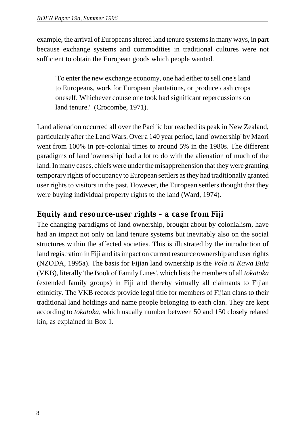example, the arrival of Europeans altered land tenure systems in many ways, in part because exchange systems and commodities in traditional cultures were not sufficient to obtain the European goods which people wanted.

'To enter the new exchange economy, one had either to sell one's land to Europeans, work for European plantations, or produce cash crops oneself. Whichever course one took had significant repercussions on land tenure.' (Crocombe, 1971).

Land alienation occurred all over the Pacific but reached its peak in New Zealand, particularly after the Land Wars. Over a 140 year period, land 'ownership' by Maori went from 100% in pre-colonial times to around 5% in the 1980s. The different paradigms of land 'ownership' had a lot to do with the alienation of much of the land. In many cases, chiefs were under the misapprehension that they were granting temporary rights of occupancy to European settlers as they had traditionally granted user rights to visitors in the past. However, the European settlers thought that they were buying individual property rights to the land (Ward, 1974).

#### *Equity and resource-user rights – a case from Fiji*

The changing paradigms of land ownership, brought about by colonialism, have had an impact not only on land tenure systems but inevitably also on the social structures within the affected societies. This is illustrated by the introduction of land registration in Fiji and its impact on current resource ownership and user rights (NZODA, 1995a). The basis for Fijian land ownership is the *Vola ni Kawa Bula* (VKB), literally 'the Book of Family Lines', which lists the members of all *tokatoka* (extended family groups) in Fiji and thereby virtually all claimants to Fijian ethnicity. The VKB records provide legal title for members of Fijian clans to their traditional land holdings and name people belonging to each clan. They are kept according to *tokatoka*, which usually number between 50 and 150 closely related kin, as explained in Box 1.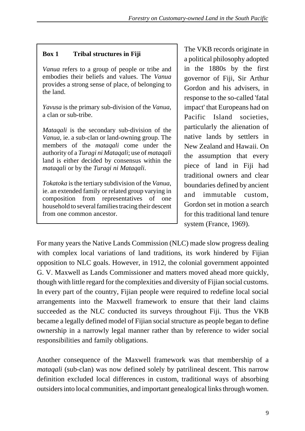#### **Box 1 Tribal structures in Fiji**

*Vanua* refers to a group of people or tribe and embodies their beliefs and values. The *Vanua* provides a strong sense of place, of belonging to the land.

*Yavusa* is the primary sub-division of the *Vanua*, a clan or sub-tribe.

*Mataqali* is the secondary sub-division of the *Vanua*, ie. a sub-clan or land-owning group. The members of the *mataqali* come under the authority of a *Turagi ni Mataqali*; use of *mataqali* land is either decided by consensus within the *mataqali* or by the *Turagi ni Mataqali*.

*Tokatoka* is the tertiary subdivision of the *Vanua*, ie. an extended family or related group varying in composition from representatives of one household to several families tracing their descent from one common ancestor.

The VKB records originate in a political philosophy adopted in the 1880s by the first governor of Fiji, Sir Arthur Gordon and his advisers, in response to the so-called 'fatal impact' that Europeans had on Pacific Island societies, particularly the alienation of native lands by settlers in New Zealand and Hawaii. On the assumption that every piece of land in Fiji had traditional owners and clear boundaries defined by ancient and immutable custom, Gordon set in motion a search for this traditional land tenure system (France, 1969).

For many years the Native Lands Commission (NLC) made slow progress dealing with complex local variations of land traditions, its work hindered by Fijian opposition to NLC goals. However, in 1912, the colonial government appointed G. V. Maxwell as Lands Commissioner and matters moved ahead more quickly, though with little regard for the complexities and diversity of Fijian social customs. In every part of the country, Fijian people were required to redefine local social arrangements into the Maxwell framework to ensure that their land claims succeeded as the NLC conducted its surveys throughout Fiji. Thus the VKB became a legally defined model of Fijian social structure as people began to define ownership in a narrowly legal manner rather than by reference to wider social responsibilities and family obligations.

Another consequence of the Maxwell framework was that membership of a *mataqali* (sub-clan) was now defined solely by patrilineal descent. This narrow definition excluded local differences in custom, traditional ways of absorbing outsiders into local communities, and important genealogical links through women.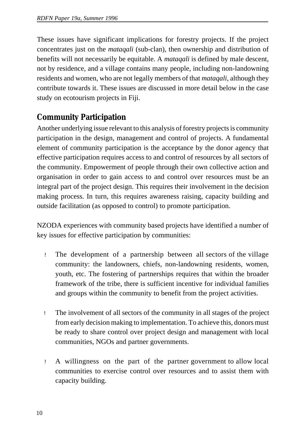These issues have significant implications for forestry projects. If the project concentrates just on the *mataqali* (sub-clan), then ownership and distribution of benefits will not necessarily be equitable. A *mataqali* is defined by male descent, not by residence, and a village contains many people, including non-landowning residents and women, who are not legally members of that *mataqali*, although they contribute towards it. These issues are discussed in more detail below in the case study on ecotourism projects in Fiji.

### **Community Participation**

Another underlying issue relevant to this analysis of forestry projects is community participation in the design, management and control of projects. A fundamental element of community participation is the acceptance by the donor agency that effective participation requires access to and control of resources by all sectors of the community. Empowerment of people through their own collective action and organisation in order to gain access to and control over resources must be an integral part of the project design. This requires their involvement in the decision making process. In turn, this requires awareness raising, capacity building and outside facilitation (as opposed to control) to promote participation.

NZODA experiences with community based projects have identified a number of key issues for effective participation by communities:

- ! The development of a partnership between all sectors of the village community: the landowners, chiefs, non-landowning residents, women, youth, etc. The fostering of partnerships requires that within the broader framework of the tribe, there is sufficient incentive for individual families and groups within the community to benefit from the project activities.
- ! The involvement of all sectors of the community in all stages of the project from early decision making to implementation. To achieve this, donors must be ready to share control over project design and management with local communities, NGOs and partner governments.
- ! A willingness on the part of the partner government to allow local communities to exercise control over resources and to assist them with capacity building.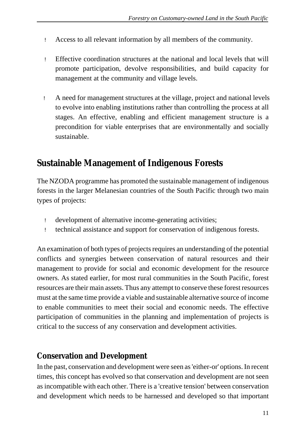- ! Access to all relevant information by all members of the community.
- ! Effective coordination structures at the national and local levels that will promote participation, devolve responsibilities, and build capacity for management at the community and village levels.
- ! A need for management structures at the village, project and national levels to evolve into enabling institutions rather than controlling the process at all stages. An effective, enabling and efficient management structure is a precondition for viable enterprises that are environmentally and socially sustainable.

## **Sustainable Management of Indigenous Forests**

The NZODA programme has promoted the sustainable management of indigenous forests in the larger Melanesian countries of the South Pacific through two main types of projects:

- ! development of alternative income-generating activities;
- ! technical assistance and support for conservation of indigenous forests.

An examination of both types of projects requires an understanding of the potential conflicts and synergies between conservation of natural resources and their management to provide for social and economic development for the resource owners. As stated earlier, for most rural communities in the South Pacific, forest resources are their main assets. Thus any attempt to conserve these forest resources must at the same time provide a viable and sustainable alternative source of income to enable communities to meet their social and economic needs. The effective participation of communities in the planning and implementation of projects is critical to the success of any conservation and development activities.

#### **Conservation and Development**

In the past, conservation and development were seen as 'either-or' options. In recent times, this concept has evolved so that conservation and development are not seen as incompatible with each other. There is a 'creative tension' between conservation and development which needs to be harnessed and developed so that important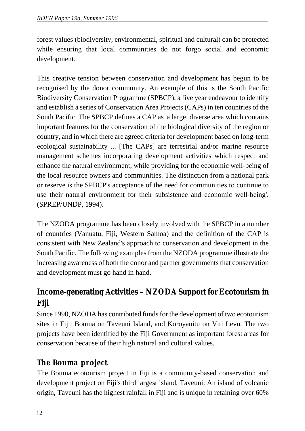forest values (biodiversity, environmental, spiritual and cultural) can be protected while ensuring that local communities do not forgo social and economic development.

This creative tension between conservation and development has begun to be recognised by the donor community. An example of this is the South Pacific Biodiversity Conservation Programme (SPBCP), a five year endeavour to identify and establish a series of Conservation Area Projects (CAPs) in ten countries of the South Pacific. The SPBCP defines a CAP as 'a large, diverse area which contains important features for the conservation of the biological diversity of the region or country, and in which there are agreed criteria for development based on long-term ecological sustainability ... [The CAPs] are terrestrial and/or marine resource management schemes incorporating development activities which respect and enhance the natural environment, while providing for the economic well-being of the local resource owners and communities. The distinction from a national park or reserve is the SPBCP's acceptance of the need for communities to continue to use their natural environment for their subsistence and economic well-being'. (SPREP/UNDP, 1994).

The NZODA programme has been closely involved with the SPBCP in a number of countries (Vanuatu, Fiji, Western Samoa) and the definition of the CAP is consistent with New Zealand's approach to conservation and development in the South Pacific. The following examples from the NZODA programme illustrate the increasing awareness of both the donor and partner governments that conservation and development must go hand in hand.

## **Income-generating Activities – NZODA Support for Ecotourism in Fiji**

Since 1990, NZODA has contributed funds for the development of two ecotourism sites in Fiji: Bouma on Taveuni Island, and Koroyanitu on Viti Levu. The two projects have been identified by the Fiji Government as important forest areas for conservation because of their high natural and cultural values.

### *The Bouma project*

The Bouma ecotourism project in Fiji is a community-based conservation and development project on Fiji's third largest island, Taveuni. An island of volcanic origin, Taveuni has the highest rainfall in Fiji and is unique in retaining over 60%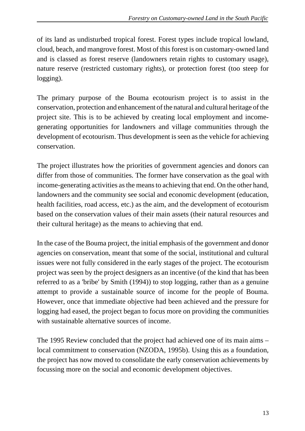of its land as undisturbed tropical forest. Forest types include tropical lowland, cloud, beach, and mangrove forest. Most of this forest is on customary-owned land and is classed as forest reserve (landowners retain rights to customary usage), nature reserve (restricted customary rights), or protection forest (too steep for logging).

The primary purpose of the Bouma ecotourism project is to assist in the conservation, protection and enhancement of the natural and cultural heritage of the project site. This is to be achieved by creating local employment and incomegenerating opportunities for landowners and village communities through the development of ecotourism. Thus development is seen as the vehicle for achieving conservation.

The project illustrates how the priorities of government agencies and donors can differ from those of communities. The former have conservation as the goal with income-generating activities as the means to achieving that end. On the other hand, landowners and the community see social and economic development (education, health facilities, road access, etc.) as the aim, and the development of ecotourism based on the conservation values of their main assets (their natural resources and their cultural heritage) as the means to achieving that end.

In the case of the Bouma project, the initial emphasis of the government and donor agencies on conservation, meant that some of the social, institutional and cultural issues were not fully considered in the early stages of the project. The ecotourism project was seen by the project designers as an incentive (of the kind that has been referred to as a 'bribe' by Smith (1994)) to stop logging, rather than as a genuine attempt to provide a sustainable source of income for the people of Bouma. However, once that immediate objective had been achieved and the pressure for logging had eased, the project began to focus more on providing the communities with sustainable alternative sources of income.

The 1995 Review concluded that the project had achieved one of its main aims – local commitment to conservation (NZODA, 1995b). Using this as a foundation, the project has now moved to consolidate the early conservation achievements by focussing more on the social and economic development objectives.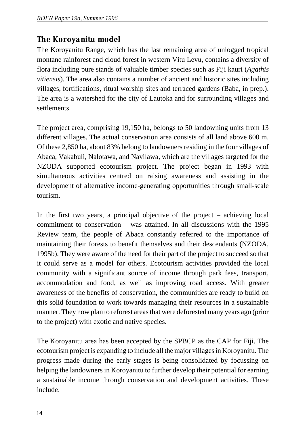### *The Koroyanitu model*

The Koroyanitu Range, which has the last remaining area of unlogged tropical montane rainforest and cloud forest in western Vitu Levu, contains a diversity of flora including pure stands of valuable timber species such as Fiji kauri (*Agathis vitiensis*). The area also contains a number of ancient and historic sites including villages, fortifications, ritual worship sites and terraced gardens (Baba, in prep.). The area is a watershed for the city of Lautoka and for surrounding villages and settlements.

The project area, comprising 19,150 ha, belongs to 50 landowning units from 13 different villages. The actual conservation area consists of all land above 600 m. Of these 2,850 ha, about 83% belong to landowners residing in the four villages of Abaca, Vakabuli, Nalotawa, and Navilawa, which are the villages targeted for the NZODA supported ecotourism project. The project began in 1993 with simultaneous activities centred on raising awareness and assisting in the development of alternative income-generating opportunities through small-scale tourism.

In the first two years, a principal objective of the project – achieving local commitment to conservation – was attained. In all discussions with the 1995 Review team, the people of Abaca constantly referred to the importance of maintaining their forests to benefit themselves and their descendants (NZODA, 1995b). They were aware of the need for their part of the project to succeed so that it could serve as a model for others. Ecotourism activities provided the local community with a significant source of income through park fees, transport, accommodation and food, as well as improving road access. With greater awareness of the benefits of conservation, the communities are ready to build on this solid foundation to work towards managing their resources in a sustainable manner. They now plan to reforest areas that were deforested many years ago (prior to the project) with exotic and native species.

The Koroyanitu area has been accepted by the SPBCP as the CAP for Fiji. The ecotourism project is expanding to include all the major villages in Koroyanitu. The progress made during the early stages is being consolidated by focussing on helping the landowners in Koroyanitu to further develop their potential for earning a sustainable income through conservation and development activities. These include: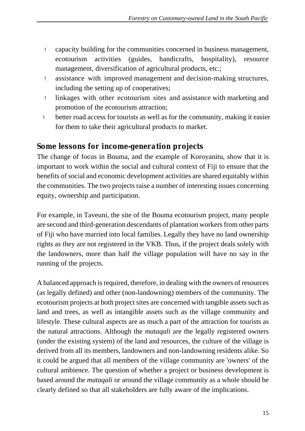- ! capacity building for the communities concerned in business management, ecotourism activities (guides, handicrafts, hospitality), resource management, diversification of agricultural products, etc.;
- ! assistance with improved management and decision-making structures, including the setting up of cooperatives;
- ! linkages with other ecotourism sites and assistance with marketing and promotion of the ecotourism attraction;
- ! better road access for tourists as well as for the community, making it easier for them to take their agricultural products to market.

#### *Some lessons for income-generation projects*

The change of focus in Bouma, and the example of Koroyanitu, show that it is important to work within the social and cultural context of Fiji to ensure that the benefits of social and economic development activities are shared equitably within the communities. The two projects raise a number of interesting issues concerning equity, ownership and participation.

For example, in Taveuni, the site of the Bouma ecotourism project, many people are second and third-generation descendants of plantation workers from other parts of Fiji who have married into local families. Legally they have no land ownership rights as they are not registered in the VKB. Thus, if the project deals solely with the landowners, more than half the village population will have no say in the running of the projects.

A balanced approach is required, therefore, in dealing with the owners of resources (as legally defined) and other (non-landowning) members of the community. The ecotourism projects at both project sites are concerned with tangible assets such as land and trees, as well as intangible assets such as the village community and lifestyle. These cultural aspects are as much a part of the attraction for tourists as the natural attractions. Although the *mataqali* are the legally registered owners (under the existing system) of the land and resources, the culture of the village is derived from all its members, landowners and non-landowning residents alike. So it could be argued that all members of the village community are 'owners' of the cultural ambience. The question of whether a project or business development is based around the *mataqali* or around the village community as a whole should be clearly defined so that all stakeholders are fully aware of the implications.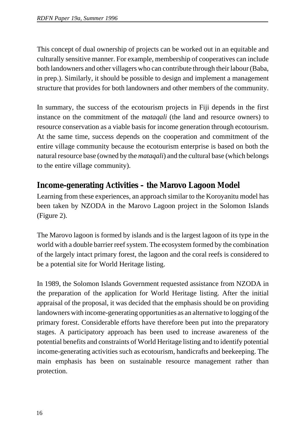This concept of dual ownership of projects can be worked out in an equitable and culturally sensitive manner. For example, membership of cooperatives can include both landowners and other villagers who can contribute through their labour (Baba, in prep.). Similarly, it should be possible to design and implement a management structure that provides for both landowners and other members of the community.

In summary, the success of the ecotourism projects in Fiji depends in the first instance on the commitment of the *mataqali* (the land and resource owners) to resource conservation as a viable basis for income generation through ecotourism. At the same time, success depends on the cooperation and commitment of the entire village community because the ecotourism enterprise is based on both the natural resource base (owned by the *mataqali*) and the cultural base (which belongs to the entire village community).

### **Income-generating Activities – the Marovo Lagoon Model**

Learning from these experiences, an approach similar to the Koroyanitu model has been taken by NZODA in the Marovo Lagoon project in the Solomon Islands (Figure 2).

The Marovo lagoon is formed by islands and is the largest lagoon of its type in the world with a double barrier reef system. The ecosystem formed by the combination of the largely intact primary forest, the lagoon and the coral reefs is considered to be a potential site for World Heritage listing.

In 1989, the Solomon Islands Government requested assistance from NZODA in the preparation of the application for World Heritage listing. After the initial appraisal of the proposal, it was decided that the emphasis should be on providing landowners with income-generating opportunities as an alternative to logging of the primary forest. Considerable efforts have therefore been put into the preparatory stages. A participatory approach has been used to increase awareness of the potential benefits and constraints of World Heritage listing and to identify potential income-generating activities such as ecotourism, handicrafts and beekeeping. The main emphasis has been on sustainable resource management rather than protection.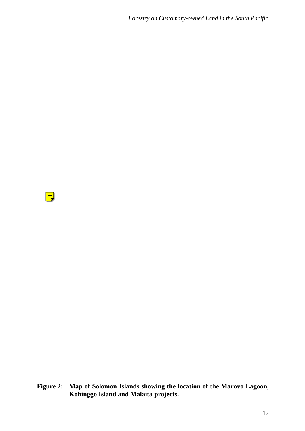$\boxed{\overline{=}}$ 

**Figure 2: Map of Solomon Islands showing the location of the Marovo Lagoon, Kohinggo Island and Malaita projects.**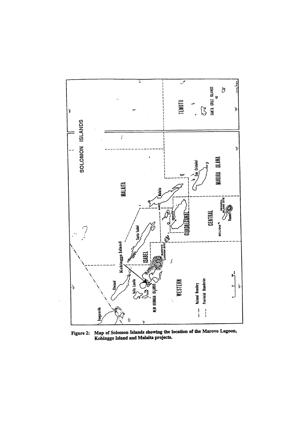

Map of Solomon Islands showing the location of the Marovo Lagoon,<br>Kohinggo Island and Malaita projects. Figure 2: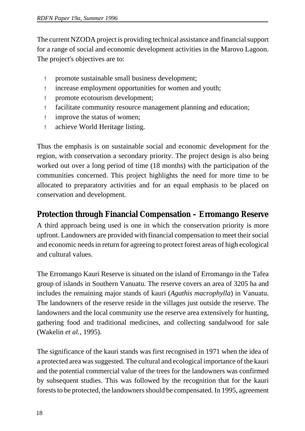The current NZODA project is providing technical assistance and financial support for a range of social and economic development activities in the Marovo Lagoon. The project's objectives are to:

- ! promote sustainable small business development;
- ! increase employment opportunities for women and youth;
- ! promote ecotourism development;
- ! facilitate community resource management planning and education;
- ! improve the status of women;
- ! achieve World Heritage listing.

Thus the emphasis is on sustainable social and economic development for the region, with conservation a secondary priority. The project design is also being worked out over a long period of time (18 months) with the participation of the communities concerned. This project highlights the need for more time to be allocated to preparatory activities and for an equal emphasis to be placed on conservation and development.

### **Protection through Financial Compensation – Erromango Reserve**

A third approach being used is one in which the conservation priority is more upfront. Landowners are provided with financial compensation to meet their social and economic needs in return for agreeing to protect forest areas of high ecological and cultural values.

The Erromango Kauri Reserve is situated on the island of Erromango in the Tafea group of islands in Southern Vanuatu. The reserve covers an area of 3205 ha and includes the remaining major stands of kauri (*Agathis macrophylla*) in Vanuatu. The landowners of the reserve reside in the villages just outside the reserve. The landowners and the local community use the reserve area extensively for hunting, gathering food and traditional medicines, and collecting sandalwood for sale (Wakelin *et al.*, 1995).

The significance of the kauri stands was first recognised in 1971 when the idea of a protected area was suggested. The cultural and ecological importance of the kauri and the potential commercial value of the trees for the landowners was confirmed by subsequent studies. This was followed by the recognition that for the kauri forests to be protected, the landowners should be compensated. In 1995, agreement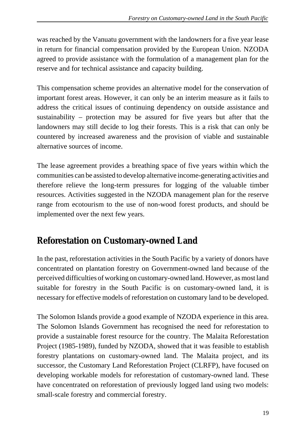was reached by the Vanuatu government with the landowners for a five year lease in return for financial compensation provided by the European Union. NZODA agreed to provide assistance with the formulation of a management plan for the reserve and for technical assistance and capacity building.

This compensation scheme provides an alternative model for the conservation of important forest areas. However, it can only be an interim measure as it fails to address the critical issues of continuing dependency on outside assistance and sustainability – protection may be assured for five years but after that the landowners may still decide to log their forests. This is a risk that can only be countered by increased awareness and the provision of viable and sustainable alternative sources of income.

The lease agreement provides a breathing space of five years within which the communities can be assisted to develop alternative income-generating activities and therefore relieve the long-term pressures for logging of the valuable timber resources. Activities suggested in the NZODA management plan for the reserve range from ecotourism to the use of non-wood forest products, and should be implemented over the next few years.

## **Reforestation on Customary-owned Land**

In the past, reforestation activities in the South Pacific by a variety of donors have concentrated on plantation forestry on Government-owned land because of the perceived difficulties of working on customary-owned land. However, as most land suitable for forestry in the South Pacific is on customary-owned land, it is necessary for effective models of reforestation on customary land to be developed.

The Solomon Islands provide a good example of NZODA experience in this area. The Solomon Islands Government has recognised the need for reforestation to provide a sustainable forest resource for the country. The Malaita Reforestation Project (1985-1989), funded by NZODA, showed that it was feasible to establish forestry plantations on customary-owned land. The Malaita project, and its successor, the Customary Land Reforestation Project (CLRFP), have focused on developing workable models for reforestation of customary-owned land. These have concentrated on reforestation of previously logged land using two models: small-scale forestry and commercial forestry.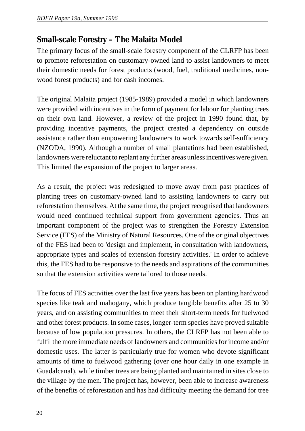### **Small-scale Forestry – The Malaita Model**

The primary focus of the small-scale forestry component of the CLRFP has been to promote reforestation on customary-owned land to assist landowners to meet their domestic needs for forest products (wood, fuel, traditional medicines, nonwood forest products) and for cash incomes.

The original Malaita project (1985-1989) provided a model in which landowners were provided with incentives in the form of payment for labour for planting trees on their own land. However, a review of the project in 1990 found that, by providing incentive payments, the project created a dependency on outside assistance rather than empowering landowners to work towards self-sufficiency (NZODA, 1990). Although a number of small plantations had been established, landowners were reluctant to replant any further areas unless incentives were given. This limited the expansion of the project to larger areas.

As a result, the project was redesigned to move away from past practices of planting trees on customary-owned land to assisting landowners to carry out reforestation themselves. At the same time, the project recognised that landowners would need continued technical support from government agencies. Thus an important component of the project was to strengthen the Forestry Extension Service (FES) of the Ministry of Natural Resources. One of the original objectives of the FES had been to 'design and implement, in consultation with landowners, appropriate types and scales of extension forestry activities.' In order to achieve this, the FES had to be responsive to the needs and aspirations of the communities so that the extension activities were tailored to those needs.

The focus of FES activities over the last five years has been on planting hardwood species like teak and mahogany, which produce tangible benefits after 25 to 30 years, and on assisting communities to meet their short-term needs for fuelwood and other forest products. In some cases, longer-term species have proved suitable because of low population pressures. In others, the CLRFP has not been able to fulfil the more immediate needs of landowners and communities for income and/or domestic uses. The latter is particularly true for women who devote significant amounts of time to fuelwood gathering (over one hour daily in one example in Guadalcanal), while timber trees are being planted and maintained in sites close to the village by the men. The project has, however, been able to increase awareness of the benefits of reforestation and has had difficulty meeting the demand for tree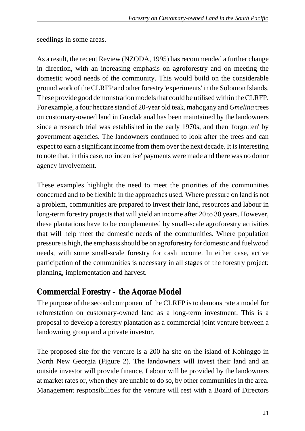seedlings in some areas.

As a result, the recent Review (NZODA, 1995) has recommended a further change in direction, with an increasing emphasis on agroforestry and on meeting the domestic wood needs of the community. This would build on the considerable ground work of the CLRFP and other forestry 'experiments' in the Solomon Islands. These provide good demonstration models that could be utilised within the CLRFP. For example, a four hectare stand of 20-year old teak, mahogany and *Gmelina* trees on customary-owned land in Guadalcanal has been maintained by the landowners since a research trial was established in the early 1970s, and then 'forgotten' by government agencies. The landowners continued to look after the trees and can expect to earn a significant income from them over the next decade. It is interesting to note that, in this case, no 'incentive' payments were made and there was no donor agency involvement.

These examples highlight the need to meet the priorities of the communities concerned and to be flexible in the approaches used. Where pressure on land is not a problem, communities are prepared to invest their land, resources and labour in long-term forestry projects that will yield an income after 20 to 30 years. However, these plantations have to be complemented by small-scale agroforestry activities that will help meet the domestic needs of the communities. Where population pressure is high, the emphasis should be on agroforestry for domestic and fuelwood needs, with some small-scale forestry for cash income. In either case, active participation of the communities is necessary in all stages of the forestry project: planning, implementation and harvest.

### **Commercial Forestry – the Aqorae Model**

The purpose of the second component of the CLRFP is to demonstrate a model for reforestation on customary-owned land as a long-term investment. This is a proposal to develop a forestry plantation as a commercial joint venture between a landowning group and a private investor.

The proposed site for the venture is a 200 ha site on the island of Kohinggo in North New Georgia (Figure 2). The landowners will invest their land and an outside investor will provide finance. Labour will be provided by the landowners at market rates or, when they are unable to do so, by other communities in the area. Management responsibilities for the venture will rest with a Board of Directors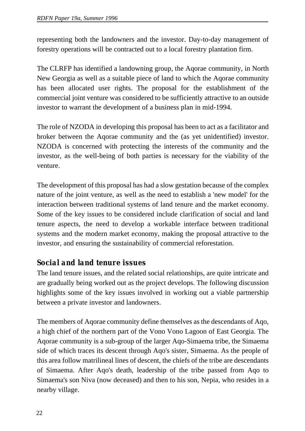representing both the landowners and the investor. Day-to-day management of forestry operations will be contracted out to a local forestry plantation firm.

The CLRFP has identified a landowning group, the Aqorae community, in North New Georgia as well as a suitable piece of land to which the Aqorae community has been allocated user rights. The proposal for the establishment of the commercial joint venture was considered to be sufficiently attractive to an outside investor to warrant the development of a business plan in mid-1994.

The role of NZODA in developing this proposal has been to act as a facilitator and broker between the Aqorae community and the (as yet unidentified) investor. NZODA is concerned with protecting the interests of the community and the investor, as the well-being of both parties is necessary for the viability of the venture.

The development of this proposal has had a slow gestation because of the complex nature of the joint venture, as well as the need to establish a 'new model' for the interaction between traditional systems of land tenure and the market economy. Some of the key issues to be considered include clarification of social and land tenure aspects, the need to develop a workable interface between traditional systems and the modern market economy, making the proposal attractive to the investor, and ensuring the sustainability of commercial reforestation.

### *Social and land tenure issues*

The land tenure issues, and the related social relationships, are quite intricate and are gradually being worked out as the project develops. The following discussion highlights some of the key issues involved in working out a viable partnership between a private investor and landowners.

The members of Aqorae community define themselves as the descendants of Aqo, a high chief of the northern part of the Vono Vono Lagoon of East Georgia. The Aqorae community is a sub-group of the larger Aqo-Simaema tribe, the Simaema side of which traces its descent through Aqo's sister, Simaema. As the people of this area follow matrilineal lines of descent, the chiefs of the tribe are descendants of Simaema. After Aqo's death, leadership of the tribe passed from Aqo to Simaema's son Niva (now deceased) and then to his son, Nepia, who resides in a nearby village.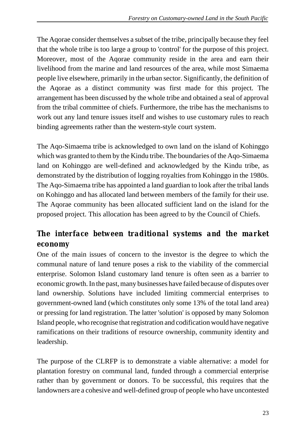The Aqorae consider themselves a subset of the tribe, principally because they feel that the whole tribe is too large a group to 'control' for the purpose of this project. Moreover, most of the Aqorae community reside in the area and earn their livelihood from the marine and land resources of the area, while most Simaema people live elsewhere, primarily in the urban sector. Significantly, the definition of the Aqorae as a distinct community was first made for this project. The arrangement has been discussed by the whole tribe and obtained a seal of approval from the tribal committee of chiefs. Furthermore, the tribe has the mechanisms to work out any land tenure issues itself and wishes to use customary rules to reach binding agreements rather than the western-style court system.

The Aqo-Simaema tribe is acknowledged to own land on the island of Kohinggo which was granted to them by the Kindu tribe. The boundaries of the Aqo-Simaema land on Kohinggo are well-defined and acknowledged by the Kindu tribe, as demonstrated by the distribution of logging royalties from Kohinggo in the 1980s. The Aqo-Simaema tribe has appointed a land guardian to look after the tribal lands on Kohinggo and has allocated land between members of the family for their use. The Aqorae community has been allocated sufficient land on the island for the proposed project. This allocation has been agreed to by the Council of Chiefs.

### *The interface between traditional systems and the market economy*

One of the main issues of concern to the investor is the degree to which the communal nature of land tenure poses a risk to the viability of the commercial enterprise. Solomon Island customary land tenure is often seen as a barrier to economic growth. In the past, many businesses have failed because of disputes over land ownership. Solutions have included limiting commercial enterprises to government-owned land (which constitutes only some 13% of the total land area) or pressing for land registration. The latter 'solution' is opposed by many Solomon Island people, who recognise that registration and codification would have negative ramifications on their traditions of resource ownership, community identity and leadership.

The purpose of the CLRFP is to demonstrate a viable alternative: a model for plantation forestry on communal land, funded through a commercial enterprise rather than by government or donors. To be successful, this requires that the landowners are a cohesive and well-defined group of people who have uncontested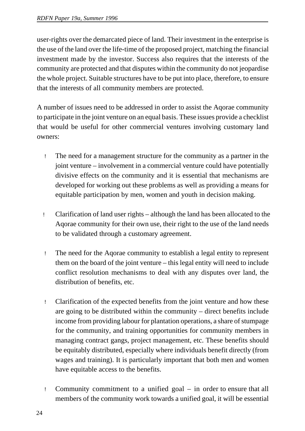user-rights over the demarcated piece of land. Their investment in the enterprise is the use of the land over the life-time of the proposed project, matching the financial investment made by the investor. Success also requires that the interests of the community are protected and that disputes within the community do not jeopardise the whole project. Suitable structures have to be put into place, therefore, to ensure that the interests of all community members are protected.

A number of issues need to be addressed in order to assist the Aqorae community to participate in the joint venture on an equal basis. These issues provide a checklist that would be useful for other commercial ventures involving customary land owners:

- ! The need for a management structure for the community as a partner in the joint venture – involvement in a commercial venture could have potentially divisive effects on the community and it is essential that mechanisms are developed for working out these problems as well as providing a means for equitable participation by men, women and youth in decision making.
- ! Clarification of land user rights although the land has been allocated to the Aqorae community for their own use, their right to the use of the land needs to be validated through a customary agreement.
- ! The need for the Aqorae community to establish a legal entity to represent them on the board of the joint venture – this legal entity will need to include conflict resolution mechanisms to deal with any disputes over land, the distribution of benefits, etc.
- ! Clarification of the expected benefits from the joint venture and how these are going to be distributed within the community – direct benefits include income from providing labour for plantation operations, a share of stumpage for the community, and training opportunities for community members in managing contract gangs, project management, etc. These benefits should be equitably distributed, especially where individuals benefit directly (from wages and training). It is particularly important that both men and women have equitable access to the benefits.
- ! Community commitment to a unified goal in order to ensure that all members of the community work towards a unified goal, it will be essential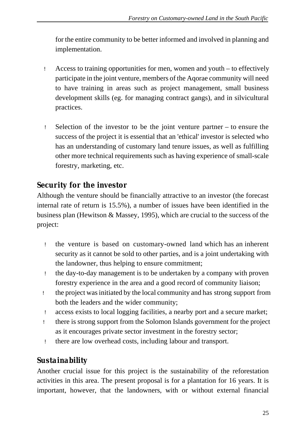for the entire community to be better informed and involved in planning and implementation.

- ! Access to training opportunities for men, women and youth to effectively participate in the joint venture, members of the Aqorae community will need to have training in areas such as project management, small business development skills (eg. for managing contract gangs), and in silvicultural practices.
- ! Selection of the investor to be the joint venture partner to ensure the success of the project it is essential that an 'ethical' investor is selected who has an understanding of customary land tenure issues, as well as fulfilling other more technical requirements such as having experience of small-scale forestry, marketing, etc.

### *Security for the investor*

Although the venture should be financially attractive to an investor (the forecast internal rate of return is 15.5%), a number of issues have been identified in the business plan (Hewitson & Massey, 1995), which are crucial to the success of the project:

- ! the venture is based on customary-owned land which has an inherent security as it cannot be sold to other parties, and is a joint undertaking with the landowner, thus helping to ensure commitment;
- ! the day-to-day management is to be undertaken by a company with proven forestry experience in the area and a good record of community liaison;
- ! the project was initiated by the local community and has strong support from both the leaders and the wider community;
- ! access exists to local logging facilities, a nearby port and a secure market;
- ! there is strong support from the Solomon Islands government for the project as it encourages private sector investment in the forestry sector;
- ! there are low overhead costs, including labour and transport.

### *Sustainability*

Another crucial issue for this project is the sustainability of the reforestation activities in this area. The present proposal is for a plantation for 16 years. It is important, however, that the landowners, with or without external financial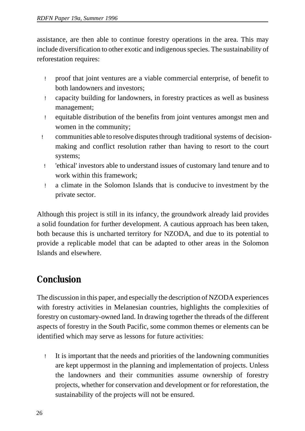assistance, are then able to continue forestry operations in the area. This may include diversification to other exotic and indigenous species. The sustainability of reforestation requires:

- ! proof that joint ventures are a viable commercial enterprise, of benefit to both landowners and investors;
- ! capacity building for landowners, in forestry practices as well as business management;
- ! equitable distribution of the benefits from joint ventures amongst men and women in the community;
- ! communities able to resolve disputes through traditional systems of decisionmaking and conflict resolution rather than having to resort to the court systems;
	- ! 'ethical' investors able to understand issues of customary land tenure and to work within this framework;
	- ! a climate in the Solomon Islands that is conducive to investment by the private sector.

Although this project is still in its infancy, the groundwork already laid provides a solid foundation for further development. A cautious approach has been taken, both because this is uncharted territory for NZODA, and due to its potential to provide a replicable model that can be adapted to other areas in the Solomon Islands and elsewhere.

# **Conclusion**

The discussion in this paper, and especially the description of NZODA experiences with forestry activities in Melanesian countries, highlights the complexities of forestry on customary-owned land. In drawing together the threads of the different aspects of forestry in the South Pacific, some common themes or elements can be identified which may serve as lessons for future activities:

 ! It is important that the needs and priorities of the landowning communities are kept uppermost in the planning and implementation of projects. Unless the landowners and their communities assume ownership of forestry projects, whether for conservation and development or for reforestation, the sustainability of the projects will not be ensured.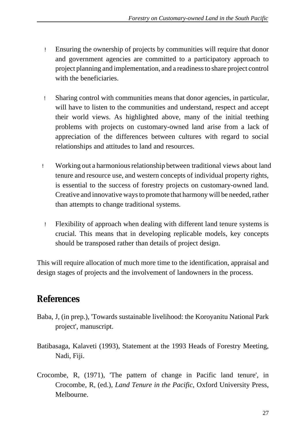- ! Ensuring the ownership of projects by communities will require that donor and government agencies are committed to a participatory approach to project planning and implementation, and a readiness to share project control with the beneficiaries.
- ! Sharing control with communities means that donor agencies, in particular, will have to listen to the communities and understand, respect and accept their world views. As highlighted above, many of the initial teething problems with projects on customary-owned land arise from a lack of appreciation of the differences between cultures with regard to social relationships and attitudes to land and resources.
- ! Working out a harmonious relationship between traditional views about land tenure and resource use, and western concepts of individual property rights, is essential to the success of forestry projects on customary-owned land. Creative and innovative ways to promote that harmony will be needed, rather than attempts to change traditional systems.
- ! Flexibility of approach when dealing with different land tenure systems is crucial. This means that in developing replicable models, key concepts should be transposed rather than details of project design.

This will require allocation of much more time to the identification, appraisal and design stages of projects and the involvement of landowners in the process.

# **References**

- Baba, J, (in prep.), 'Towards sustainable livelihood: the Koroyanitu National Park project', manuscript.
- Batibasaga, Kalaveti (1993), Statement at the 1993 Heads of Forestry Meeting, Nadi, Fiji.
- Crocombe, R, (1971), 'The pattern of change in Pacific land tenure', in Crocombe, R, (ed.)*, Land Tenure in the Pacific*, Oxford University Press, Melbourne.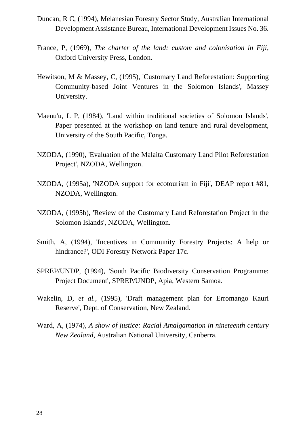- Duncan, R C, (1994), Melanesian Forestry Sector Study, Australian International Development Assistance Bureau, International Development Issues No. 36.
- France, P, (1969), *The charter of the land: custom and colonisation in Fiji*, Oxford University Press, London.
- Hewitson, M & Massey, C, (1995), 'Customary Land Reforestation: Supporting Community-based Joint Ventures in the Solomon Islands', Massey University.
- Maenu'u, L P, (1984), 'Land within traditional societies of Solomon Islands', Paper presented at the workshop on land tenure and rural development, University of the South Pacific, Tonga.
- NZODA, (1990), 'Evaluation of the Malaita Customary Land Pilot Reforestation Project', NZODA, Wellington.
- NZODA, (1995a), 'NZODA support for ecotourism in Fiji', DEAP report #81, NZODA, Wellington.
- NZODA, (1995b), 'Review of the Customary Land Reforestation Project in the Solomon Islands', NZODA, Wellington.
- Smith, A, (1994), 'Incentives in Community Forestry Projects: A help or hindrance?', ODI Forestry Network Paper 17c.
- SPREP/UNDP, (1994), 'South Pacific Biodiversity Conservation Programme: Project Document', SPREP/UNDP, Apia, Western Samoa.
- Wakelin, D, *et al.*, (1995), 'Draft management plan for Erromango Kauri Reserve', Dept. of Conservation, New Zealand.
- Ward, A, (1974), *A show of justice: Racial Amalgamation in nineteenth century New Zealand*, Australian National University, Canberra.